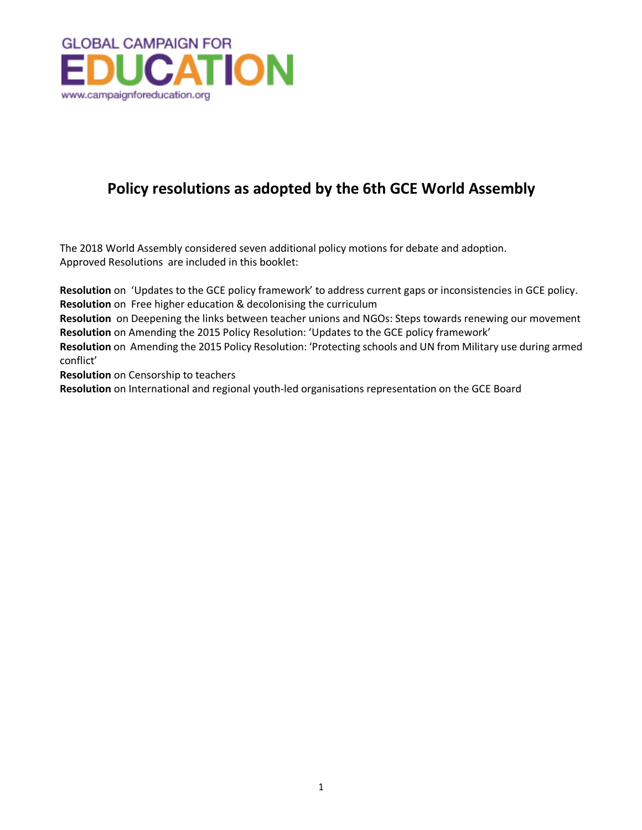

## **Policy resolutions as adopted by the 6th GCE World Assembly**

The 2018 World Assembly considered seven additional policy motions for debate and adoption. Approved Resolutions are included in this booklet:

**Resolution** on 'Updates to the GCE policy framework' to address current gaps or inconsistencies in GCE policy. **Resolution** on Free higher education & decolonising the curriculum

**Resolution** on Deepening the links between teacher unions and NGOs: Steps towards renewing our movement **Resolution** on Amending the 2015 Policy Resolution: 'Updates to the GCE policy framework'

**Resolution** on Amending the 2015 Policy Resolution: 'Protecting schools and UN from Military use during armed conflict'

**Resolution** on Censorship to teachers

**Resolution** on International and regional youth-led organisations representation on the GCE Board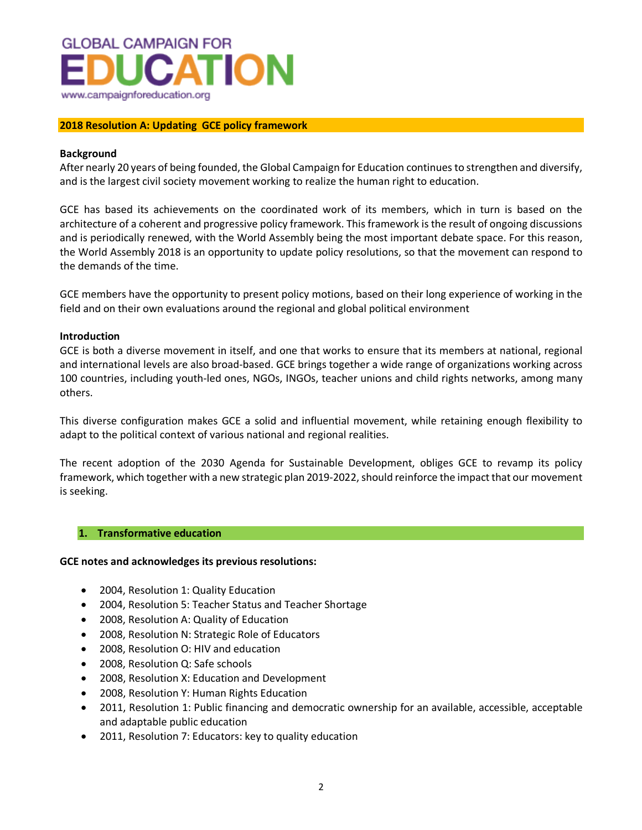

## **2018 Resolution A: Updating GCE policy framework**

## **Background**

After nearly 20 years of being founded, the Global Campaign for Education continues to strengthen and diversify, and is the largest civil society movement working to realize the human right to education.

GCE has based its achievements on the coordinated work of its members, which in turn is based on the architecture of a coherent and progressive policy framework. This framework is the result of ongoing discussions and is periodically renewed, with the World Assembly being the most important debate space. For this reason, the World Assembly 2018 is an opportunity to update policy resolutions, so that the movement can respond to the demands of the time.

GCE members have the opportunity to present policy motions, based on their long experience of working in the field and on their own evaluations around the regional and global political environment

## **Introduction**

GCE is both a diverse movement in itself, and one that works to ensure that its members at national, regional and international levels are also broad-based. GCE brings together a wide range of organizations working across 100 countries, including youth-led ones, NGOs, INGOs, teacher unions and child rights networks, among many others.

This diverse configuration makes GCE a solid and influential movement, while retaining enough flexibility to adapt to the political context of various national and regional realities.

The recent adoption of the 2030 Agenda for Sustainable Development, obliges GCE to revamp its policy framework, which together with a new strategic plan 2019-2022, should reinforce the impact that our movement is seeking.

## **1. Transformative education**

## **GCE notes and acknowledges its previous resolutions:**

- 2004, Resolution 1: Quality Education
- 2004, Resolution 5: Teacher Status and Teacher Shortage
- 2008, Resolution A: Quality of Education
- 2008, Resolution N: Strategic Role of Educators
- 2008, Resolution O: HIV and education
- 2008, Resolution Q: Safe schools
- 2008, Resolution X: Education and Development
- 2008, Resolution Y: Human Rights Education
- 2011, Resolution 1: Public financing and democratic ownership for an available, accessible, acceptable and adaptable public education
- 2011, Resolution 7: Educators: key to quality education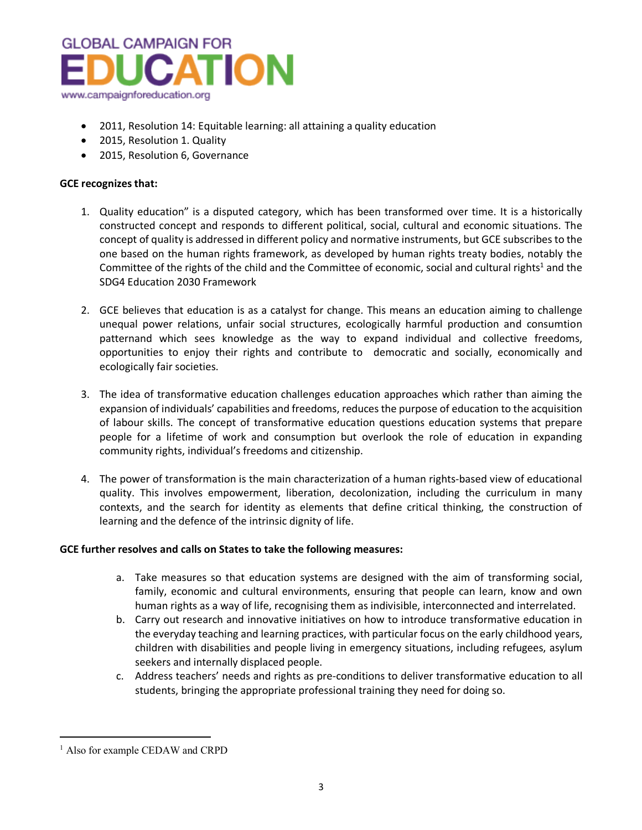

- 2011, Resolution 14: Equitable learning: all attaining a quality education
- 2015, Resolution 1. Quality
- 2015, Resolution 6, Governance

## **GCE recognizes that:**

- 1. Quality education" is a disputed category, which has been transformed over time. It is a historically constructed concept and responds to different political, social, cultural and economic situations. The concept of quality is addressed in different policy and normative instruments, but GCE subscribes to the one based on the human rights framework, as developed by human rights treaty bodies, notably the Committee of the rights of the child and the Committee of economic, social and cultural rights<sup>1</sup> and the SDG4 Education 2030 Framework
- 2. GCE believes that education is as a catalyst for change. This means an education aiming to challenge unequal power relations, unfair social structures, ecologically harmful production and consumtion patternand which sees knowledge as the way to expand individual and collective freedoms, opportunities to enjoy their rights and contribute to democratic and socially, economically and ecologically fair societies.
- 3. The idea of transformative education challenges education approaches which rather than aiming the expansion of individuals' capabilities and freedoms, reduces the purpose of education to the acquisition of labour skills. The concept of transformative education questions education systems that prepare people for a lifetime of work and consumption but overlook the role of education in expanding community rights, individual's freedoms and citizenship.
- 4. The power of transformation is the main characterization of a human rights-based view of educational quality. This involves empowerment, liberation, decolonization, including the curriculum in many contexts, and the search for identity as elements that define critical thinking, the construction of learning and the defence of the intrinsic dignity of life.

## **GCE further resolves and calls on States to take the following measures:**

- a. Take measures so that education systems are designed with the aim of transforming social, family, economic and cultural environments, ensuring that people can learn, know and own human rights as a way of life, recognising them as indivisible, interconnected and interrelated.
- b. Carry out research and innovative initiatives on how to introduce transformative education in the everyday teaching and learning practices, with particular focus on the early childhood years, children with disabilities and people living in emergency situations, including refugees, asylum seekers and internally displaced people.
- c. Address teachers' needs and rights as pre-conditions to deliver transformative education to all students, bringing the appropriate professional training they need for doing so.

 $\overline{a}$ 

<sup>&</sup>lt;sup>1</sup> Also for example CEDAW and CRPD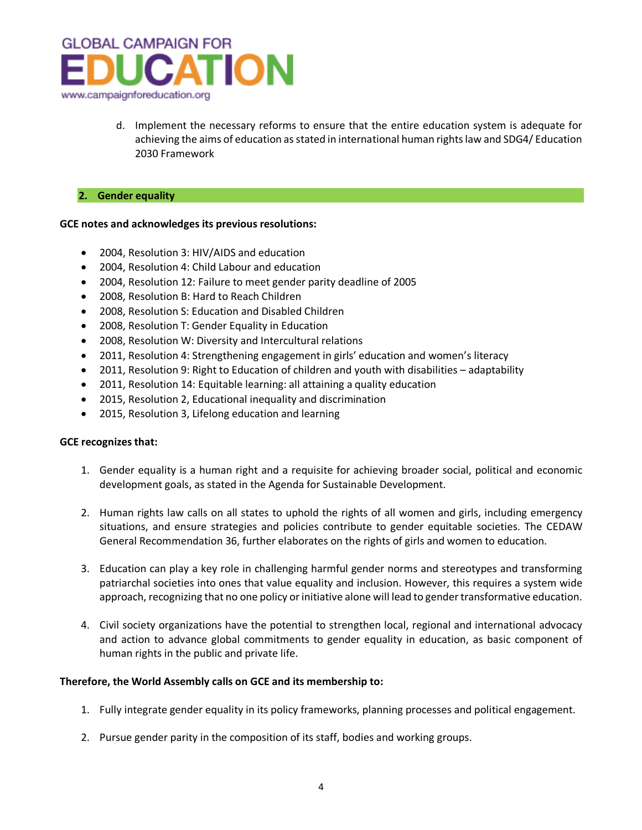

d. Implement the necessary reforms to ensure that the entire education system is adequate for achieving the aims of education as stated in international human rights law and SDG4/ Education 2030 Framework

## **2. Gender equality**

## **GCE notes and acknowledges its previous resolutions:**

- 2004, Resolution 3: HIV/AIDS and education
- 2004, Resolution 4: Child Labour and education
- 2004, Resolution 12: Failure to meet gender parity deadline of 2005
- 2008, Resolution B: Hard to Reach Children
- 2008, Resolution S: Education and Disabled Children
- 2008, Resolution T: Gender Equality in Education
- 2008, Resolution W: Diversity and Intercultural relations
- 2011, Resolution 4: Strengthening engagement in girls' education and women's literacy
- 2011, Resolution 9: Right to Education of children and youth with disabilities adaptability
- 2011, Resolution 14: Equitable learning: all attaining a quality education
- 2015, Resolution 2, Educational inequality and discrimination
- 2015, Resolution 3, Lifelong education and learning

## **GCE recognizes that:**

- 1. Gender equality is a human right and a requisite for achieving broader social, political and economic development goals, as stated in the Agenda for Sustainable Development.
- 2. Human rights law calls on all states to uphold the rights of all women and girls, including emergency situations, and ensure strategies and policies contribute to gender equitable societies. The CEDAW General Recommendation 36, further elaborates on the rights of girls and women to education.
- 3. Education can play a key role in challenging harmful gender norms and stereotypes and transforming patriarchal societies into ones that value equality and inclusion. However, this requires a system wide approach, recognizing that no one policy or initiative alone will lead to gender transformative education.
- 4. Civil society organizations have the potential to strengthen local, regional and international advocacy and action to advance global commitments to gender equality in education, as basic component of human rights in the public and private life.

## **Therefore, the World Assembly calls on GCE and its membership to:**

- 1. Fully integrate gender equality in its policy frameworks, planning processes and political engagement.
- 2. Pursue gender parity in the composition of its staff, bodies and working groups.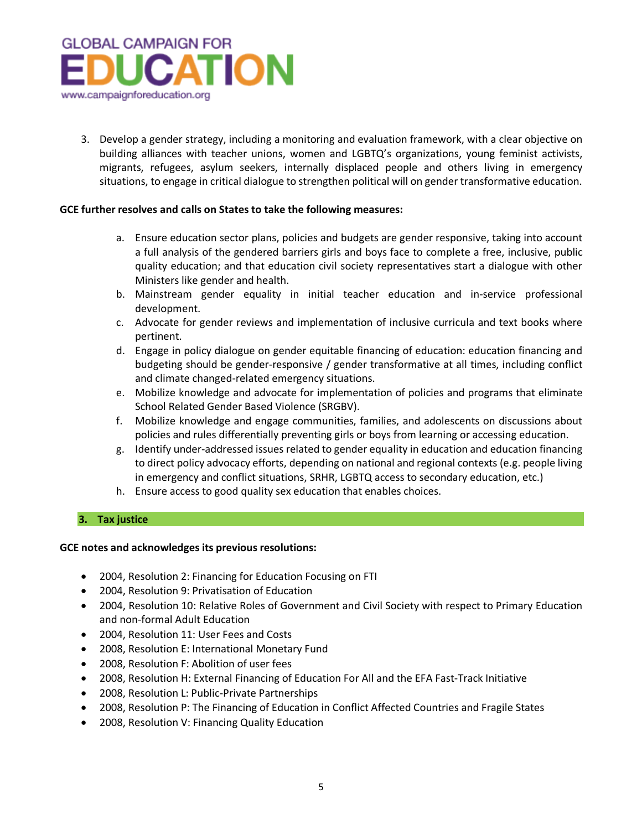

3. Develop a gender strategy, including a monitoring and evaluation framework, with a clear objective on building alliances with teacher unions, women and LGBTQ's organizations, young feminist activists, migrants, refugees, asylum seekers, internally displaced people and others living in emergency situations, to engage in critical dialogue to strengthen political will on gender transformative education.

## **GCE further resolves and calls on States to take the following measures:**

- a. Ensure education sector plans, policies and budgets are gender responsive, taking into account a full analysis of the gendered barriers girls and boys face to complete a free, inclusive, public quality education; and that education civil society representatives start a dialogue with other Ministers like gender and health.
- b. Mainstream gender equality in initial teacher education and in-service professional development.
- c. Advocate for gender reviews and implementation of inclusive curricula and text books where pertinent.
- d. Engage in policy dialogue on gender equitable financing of education: education financing and budgeting should be gender-responsive / gender transformative at all times, including conflict and climate changed-related emergency situations.
- e. Mobilize knowledge and advocate for implementation of policies and programs that eliminate School Related Gender Based Violence (SRGBV).
- f. Mobilize knowledge and engage communities, families, and adolescents on discussions about policies and rules differentially preventing girls or boys from learning or accessing education.
- g. Identify under-addressed issues related to gender equality in education and education financing to direct policy advocacy efforts, depending on national and regional contexts (e.g. people living in emergency and conflict situations, SRHR, LGBTQ access to secondary education, etc.)
- h. Ensure access to good quality sex education that enables choices.

## **3. Tax justice**

## **GCE notes and acknowledges its previous resolutions:**

- 2004, Resolution 2: Financing for Education Focusing on FTI
- 2004, Resolution 9: Privatisation of Education
- 2004, Resolution 10: Relative Roles of Government and Civil Society with respect to Primary Education and non-formal Adult Education
- 2004, Resolution 11: User Fees and Costs
- 2008, Resolution E: International Monetary Fund
- 2008, Resolution F: Abolition of user fees
- 2008, Resolution H: External Financing of Education For All and the EFA Fast-Track Initiative
- 2008, Resolution L: Public-Private Partnerships
- 2008, Resolution P: The Financing of Education in Conflict Affected Countries and Fragile States
- 2008, Resolution V: Financing Quality Education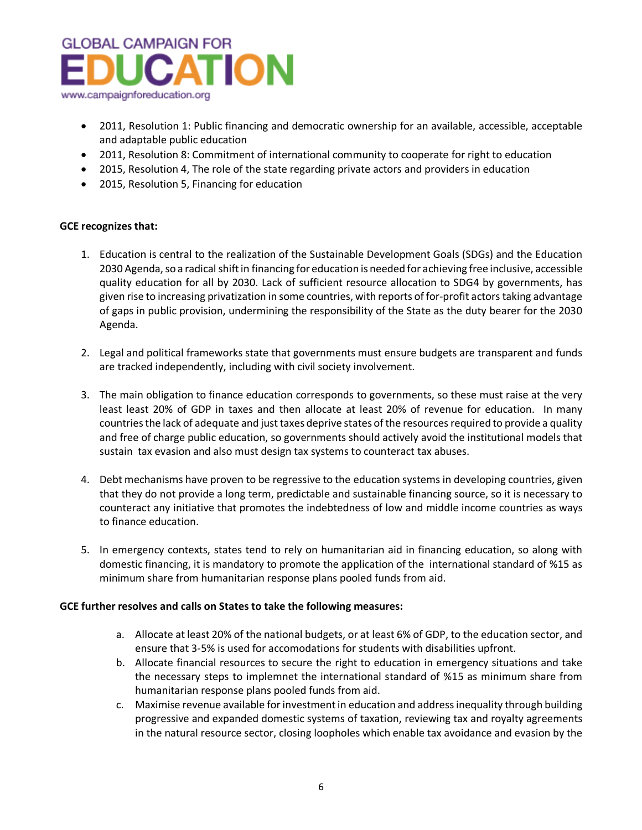

- 2011, Resolution 1: Public financing and democratic ownership for an available, accessible, acceptable and adaptable public education
- 2011, Resolution 8: Commitment of international community to cooperate for right to education
- 2015, Resolution 4, The role of the state regarding private actors and providers in education
- 2015, Resolution 5, Financing for education

## **GCE recognizes that:**

- 1. Education is central to the realization of the Sustainable Development Goals (SDGs) and the Education 2030 Agenda, so a radical shift in financing for education is needed for achieving free inclusive, accessible quality education for all by 2030. Lack of sufficient resource allocation to SDG4 by governments, has given rise to increasing privatization in some countries, with reports of for-profit actors taking advantage of gaps in public provision, undermining the responsibility of the State as the duty bearer for the 2030 Agenda.
- 2. Legal and political frameworks state that governments must ensure budgets are transparent and funds are tracked independently, including with civil society involvement.
- 3. The main obligation to finance education corresponds to governments, so these must raise at the very least least 20% of GDP in taxes and then allocate at least 20% of revenue for education. In many countries the lack of adequate and just taxes deprive states of the resources required to provide a quality and free of charge public education, so governments should actively avoid the institutional models that sustain tax evasion and also must design tax systems to counteract tax abuses.
- 4. Debt mechanisms have proven to be regressive to the education systems in developing countries, given that they do not provide a long term, predictable and sustainable financing source, so it is necessary to counteract any initiative that promotes the indebtedness of low and middle income countries as ways to finance education.
- 5. In emergency contexts, states tend to rely on humanitarian aid in financing education, so along with domestic financing, it is mandatory to promote the application of the international standard of %15 as minimum share from humanitarian response plans pooled funds from aid.

## **GCE further resolves and calls on States to take the following measures:**

- a. Allocate at least 20% of the national budgets, or at least 6% of GDP, to the education sector, and ensure that 3-5% is used for accomodations for students with disabilities upfront.
- b. Allocate financial resources to secure the right to education in emergency situations and take the necessary steps to implemnet the international standard of %15 as minimum share from humanitarian response plans pooled funds from aid.
- c. Maximise revenue available for investment in education and address inequality through building progressive and expanded domestic systems of taxation, reviewing tax and royalty agreements in the natural resource sector, closing loopholes which enable tax avoidance and evasion by the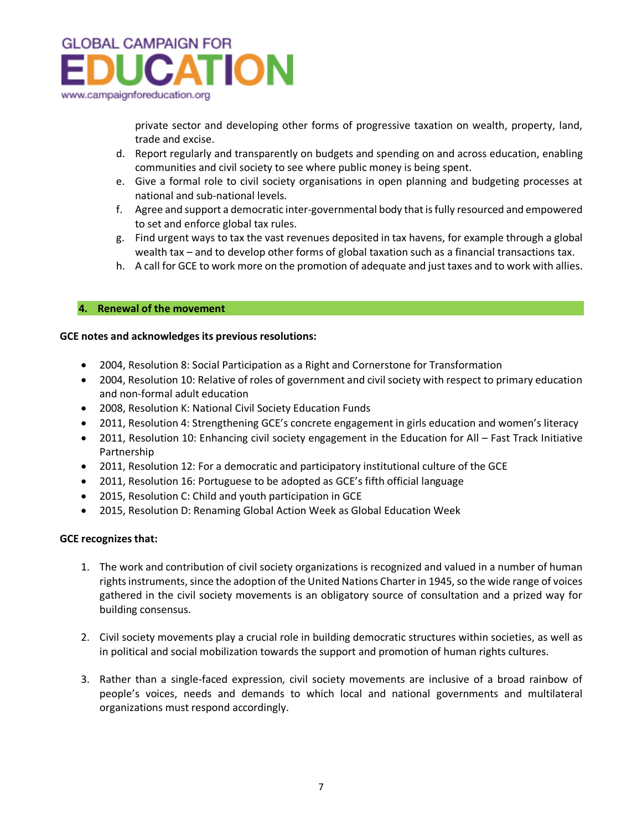

private sector and developing other forms of progressive taxation on wealth, property, land, trade and excise.

- d. Report regularly and transparently on budgets and spending on and across education, enabling communities and civil society to see where public money is being spent.
- e. Give a formal role to civil society organisations in open planning and budgeting processes at national and sub-national levels.
- f. Agree and support a democratic inter-governmental body that is fully resourced and empowered to set and enforce global tax rules.
- g. Find urgent ways to tax the vast revenues deposited in tax havens, for example through a global wealth tax – and to develop other forms of global taxation such as a financial transactions tax.
- h. A call for GCE to work more on the promotion of adequate and just taxes and to work with allies.

## **4. Renewal of the movement**

## **GCE notes and acknowledges its previous resolutions:**

- 2004, Resolution 8: Social Participation as a Right and Cornerstone for Transformation
- 2004, Resolution 10: Relative of roles of government and civil society with respect to primary education and non-formal adult education
- 2008, Resolution K: National Civil Society Education Funds
- 2011, Resolution 4: Strengthening GCE's concrete engagement in girls education and women's literacy
- 2011, Resolution 10: Enhancing civil society engagement in the Education for All Fast Track Initiative Partnership
- 2011, Resolution 12: For a democratic and participatory institutional culture of the GCE
- 2011, Resolution 16: Portuguese to be adopted as GCE's fifth official language
- 2015, Resolution C: Child and youth participation in GCE
- 2015, Resolution D: Renaming Global Action Week as Global Education Week

## **GCE recognizes that:**

- 1. The work and contribution of civil society organizations is recognized and valued in a number of human rights instruments, since the adoption of the United Nations Charter in 1945, so the wide range of voices gathered in the civil society movements is an obligatory source of consultation and a prized way for building consensus.
- 2. Civil society movements play a crucial role in building democratic structures within societies, as well as in political and social mobilization towards the support and promotion of human rights cultures.
- 3. Rather than a single-faced expression, civil society movements are inclusive of a broad rainbow of people's voices, needs and demands to which local and national governments and multilateral organizations must respond accordingly.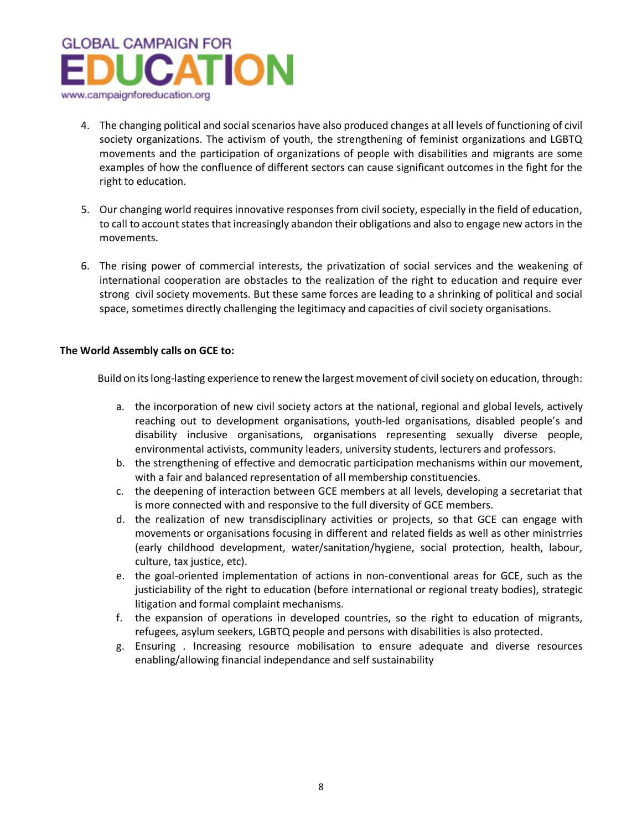

- 4. The changing political and social scenarios have also produced changes at all levels of functioning of civil society organizations. The activism of youth, the strengthening of feminist organizations and LGBTQ movements and the participation of organizations of people with disabilities and migrants are some examples of how the confluence of different sectors can cause significant outcomes in the fight for the right to education.
- 5. Our changing world requires innovative responses from civil society, especially in the field of education, to call to account states that increasingly abandon their obligations and also to engage new actors in the movements.
- 6. The rising power of commercial interests, the privatization of social services and the weakening of international cooperation are obstacles to the realization of the right to education and require ever strong civil society movements. But these same forces are leading to a shrinking of political and social space, sometimes directly challenging the legitimacy and capacities of civil society organisations.

## **The World Assembly calls on GCE to:**

Build on its long-lasting experience to renew the largest movement of civil society on education, through:

- a. the incorporation of new civil society actors at the national, regional and global levels, actively reaching out to development organisations, youth-led organisations, disabled people's and disability inclusive organisations, organisations representing sexually diverse people, environmental activists, community leaders, university students, lecturers and professors.
- b. the strengthening of effective and democratic participation mechanisms within our movement, with a fair and balanced representation of all membership constituencies.
- c. the deepening of interaction between GCE members at all levels, developing a secretariat that is more connected with and responsive to the full diversity of GCE members.
- d. the realization of new transdisciplinary activities or projects, so that GCE can engage with movements or organisations focusing in different and related fields as well as other ministrries (early childhood development, water/sanitation/hygiene, social protection, health, labour, culture, tax justice, etc).
- e. the goal-oriented implementation of actions in non-conventional areas for GCE, such as the justiciability of the right to education (before international or regional treaty bodies), strategic litigation and formal complaint mechanisms.
- f. the expansion of operations in developed countries, so the right to education of migrants, refugees, asylum seekers, LGBTQ people and persons with disabilities is also protected.
- g. Ensuring . Increasing resource mobilisation to ensure adequate and diverse resources enabling/allowing financial independance and self sustainability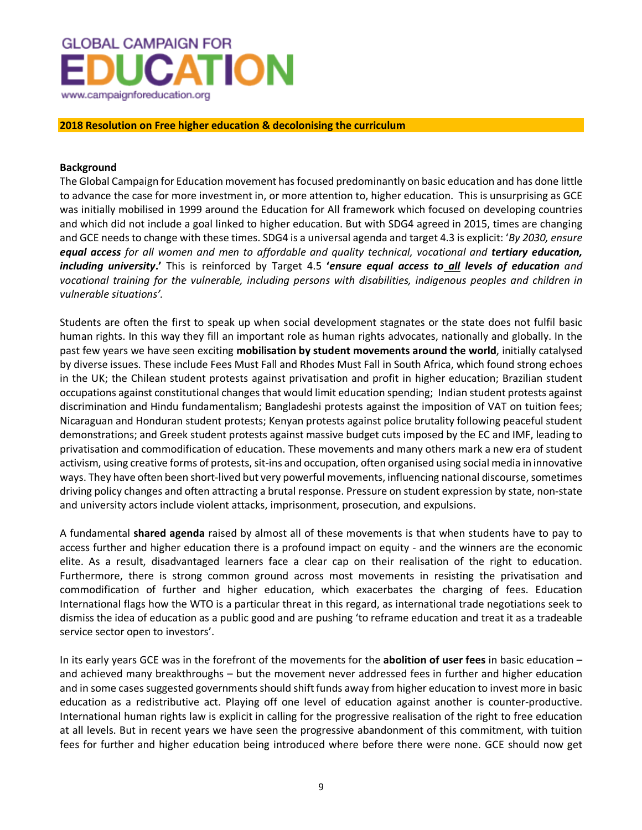

**2018 Resolution on Free higher education & decolonising the curriculum**

## **Background**

The Global Campaign for Education movement has focused predominantly on basic education and has done little to advance the case for more investment in, or more attention to, higher education. This is unsurprising as GCE was initially mobilised in 1999 around the Education for All framework which focused on developing countries and which did not include a goal linked to higher education. But with SDG4 agreed in 2015, times are changing and GCE needs to change with these times. SDG4 is a universal agenda and target 4.3 is explicit: '*By 2030, ensure equal access for all women and men to affordable and quality technical, vocational and tertiary education, including university***.'** This is reinforced by Target 4.5 **'***ensure equal access to all levels of education and vocational training for the vulnerable, including persons with disabilities, indigenous peoples and children in vulnerable situations'.*

Students are often the first to speak up when social development stagnates or the state does not fulfil basic human rights. In this way they fill an important role as human rights advocates, nationally and globally. In the past few years we have seen exciting **mobilisation by student movements around the world**, initially catalysed by diverse issues. These include Fees Must Fall and Rhodes Must Fall in South Africa, which found strong echoes in the UK; the Chilean student protests against privatisation and profit in higher education; Brazilian student occupations against constitutional changes that would limit education spending; Indian student protests against discrimination and Hindu fundamentalism; Bangladeshi protests against the imposition of VAT on tuition fees; Nicaraguan and Honduran student protests; Kenyan protests against police brutality following peaceful student demonstrations; and Greek student protests against massive budget cuts imposed by the EC and IMF, leading to privatisation and commodification of education. These movements and many others mark a new era of student activism, using creative forms of protests, sit-ins and occupation, often organised using social media in innovative ways. They have often been short-lived but very powerful movements, influencing national discourse, sometimes driving policy changes and often attracting a brutal response. Pressure on student expression by state, non-state and university actors include violent attacks, imprisonment, prosecution, and expulsions.

A fundamental **shared agenda** raised by almost all of these movements is that when students have to pay to access further and higher education there is a profound impact on equity - and the winners are the economic elite. As a result, disadvantaged learners face a clear cap on their realisation of the right to education. Furthermore, there is strong common ground across most movements in resisting the privatisation and commodification of further and higher education, which exacerbates the charging of fees. Education International flags how the WTO is a particular threat in this regard, as international trade negotiations seek to dismiss the idea of education as a public good and are pushing 'to reframe education and treat it as a tradeable service sector open to investors'.

In its early years GCE was in the forefront of the movements for the **abolition of user fees** in basic education – and achieved many breakthroughs – but the movement never addressed fees in further and higher education and in some cases suggested governments should shift funds away from higher education to invest more in basic education as a redistributive act. Playing off one level of education against another is counter-productive. International human rights law is explicit in calling for the progressive realisation of the right to free education at all levels. But in recent years we have seen the progressive abandonment of this commitment, with tuition fees for further and higher education being introduced where before there were none. GCE should now get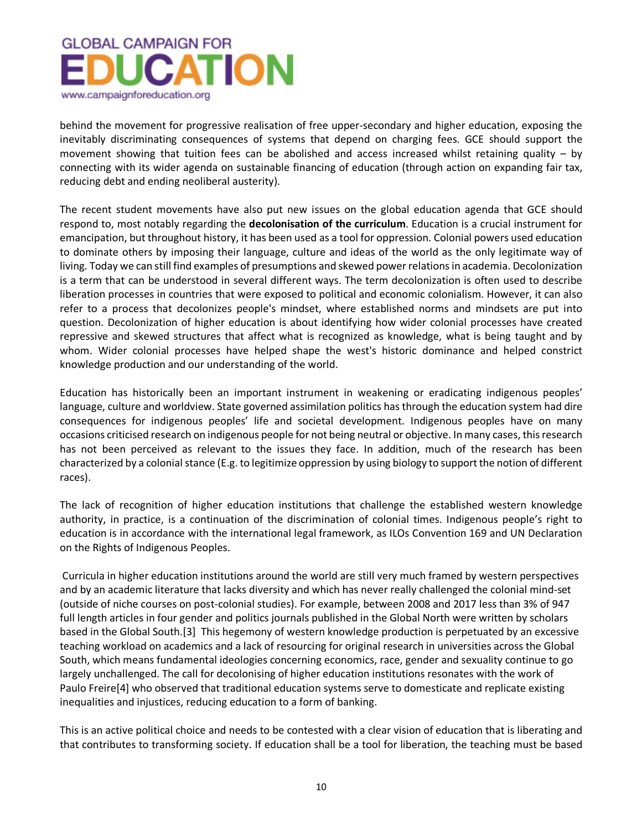

behind the movement for progressive realisation of free upper-secondary and higher education, exposing the inevitably discriminating consequences of systems that depend on charging fees. GCE should support the movement showing that tuition fees can be abolished and access increased whilst retaining quality – by connecting with its wider agenda on sustainable financing of education (through action on expanding fair tax, reducing debt and ending neoliberal austerity).

The recent student movements have also put new issues on the global education agenda that GCE should respond to, most notably regarding the **decolonisation of the curriculum**. Education is a crucial instrument for emancipation, but throughout history, it has been used as a tool for oppression. Colonial powers used education to dominate others by imposing their language, culture and ideas of the world as the only legitimate way of living. Today we can still find examples of presumptions and skewed power relations in academia. Decolonization is a term that can be understood in several different ways. The term decolonization is often used to describe liberation processes in countries that were exposed to political and economic colonialism. However, it can also refer to a process that decolonizes people's mindset, where established norms and mindsets are put into question. Decolonization of higher education is about identifying how wider colonial processes have created repressive and skewed structures that affect what is recognized as knowledge, what is being taught and by whom. Wider colonial processes have helped shape the west's historic dominance and helped constrict knowledge production and our understanding of the world.

Education has historically been an important instrument in weakening or eradicating indigenous peoples' language, culture and worldview. State governed assimilation politics has through the education system had dire consequences for indigenous peoples' life and societal development. Indigenous peoples have on many occasions criticised research on indigenous people for not being neutral or objective. In many cases, this research has not been perceived as relevant to the issues they face. In addition, much of the research has been characterized by a colonial stance (E.g. to legitimize oppression by using biology to support the notion of different races).

The lack of recognition of higher education institutions that challenge the established western knowledge authority, in practice, is a continuation of the discrimination of colonial times. Indigenous people's right to education is in accordance with the international legal framework, as ILOs Convention 169 and UN Declaration on the Rights of Indigenous Peoples.

Curricula in higher education institutions around the world are still very much framed by western perspectives and by an academic literature that lacks diversity and which has never really challenged the colonial mind-set (outside of niche courses on post-colonial studies). For example, between 2008 and 2017 less than 3% of 947 full length articles in four gender and politics journals published in the Global North were written by scholars based in the Global South.[3] This hegemony of western knowledge production is perpetuated by an excessive teaching workload on academics and a lack of resourcing for original research in universities across the Global South, which means fundamental ideologies concerning economics, race, gender and sexuality continue to go largely unchallenged. The call for decolonising of higher education institutions resonates with the work of Paulo Freire[4] who observed that traditional education systems serve to domesticate and replicate existing inequalities and injustices, reducing education to a form of banking.

This is an active political choice and needs to be contested with a clear vision of education that is liberating and that contributes to transforming society. If education shall be a tool for liberation, the teaching must be based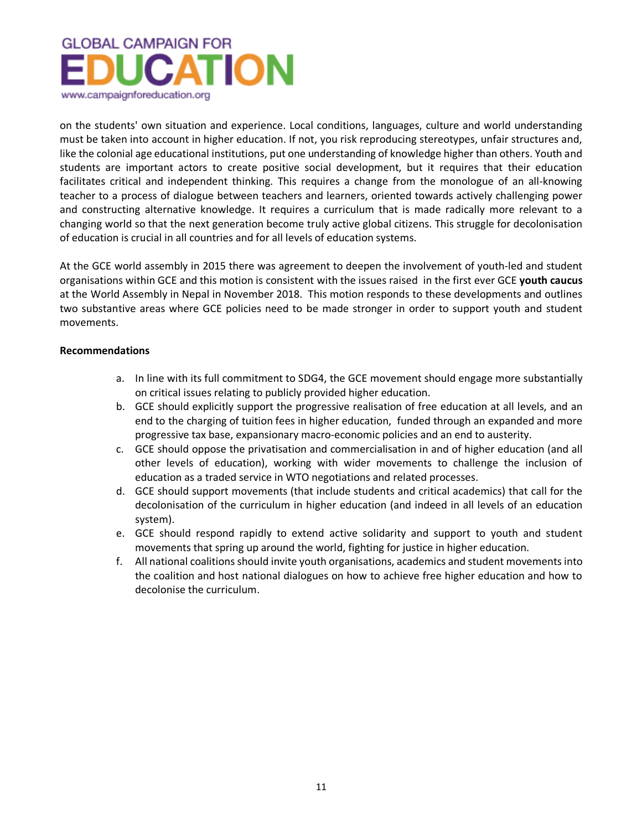

on the students' own situation and experience. Local conditions, languages, culture and world understanding must be taken into account in higher education. If not, you risk reproducing stereotypes, unfair structures and, like the colonial age educational institutions, put one understanding of knowledge higher than others. Youth and students are important actors to create positive social development, but it requires that their education facilitates critical and independent thinking. This requires a change from the monologue of an all-knowing teacher to a process of dialogue between teachers and learners, oriented towards actively challenging power and constructing alternative knowledge. It requires a curriculum that is made radically more relevant to a changing world so that the next generation become truly active global citizens. This struggle for decolonisation of education is crucial in all countries and for all levels of education systems.

At the GCE world assembly in 2015 there was agreement to deepen the involvement of youth-led and student organisations within GCE and this motion is consistent with the issues raised in the first ever GCE **youth caucus** at the World Assembly in Nepal in November 2018. This motion responds to these developments and outlines two substantive areas where GCE policies need to be made stronger in order to support youth and student movements.

## **Recommendations**

- a. In line with its full commitment to SDG4, the GCE movement should engage more substantially on critical issues relating to publicly provided higher education.
- b. GCE should explicitly support the progressive realisation of free education at all levels, and an end to the charging of tuition fees in higher education, funded through an expanded and more progressive tax base, expansionary macro-economic policies and an end to austerity.
- c. GCE should oppose the privatisation and commercialisation in and of higher education (and all other levels of education), working with wider movements to challenge the inclusion of education as a traded service in WTO negotiations and related processes.
- d. GCE should support movements (that include students and critical academics) that call for the decolonisation of the curriculum in higher education (and indeed in all levels of an education system).
- e. GCE should respond rapidly to extend active solidarity and support to youth and student movements that spring up around the world, fighting for justice in higher education.
- f. All national coalitions should invite youth organisations, academics and student movements into the coalition and host national dialogues on how to achieve free higher education and how to decolonise the curriculum.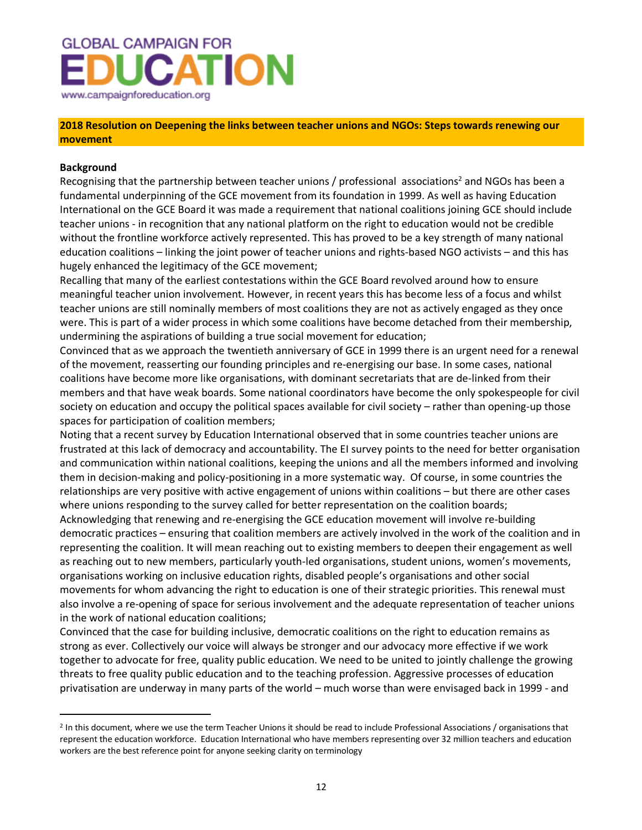

## **2018 Resolution on Deepening the links between teacher unions and NGOs: Steps towards renewing our movement**

## **Background**

 $\overline{a}$ 

Recognising that the partnership between teacher unions / professional associations<sup>2</sup> and NGOs has been a fundamental underpinning of the GCE movement from its foundation in 1999. As well as having Education International on the GCE Board it was made a requirement that national coalitions joining GCE should include teacher unions - in recognition that any national platform on the right to education would not be credible without the frontline workforce actively represented. This has proved to be a key strength of many national education coalitions – linking the joint power of teacher unions and rights-based NGO activists – and this has hugely enhanced the legitimacy of the GCE movement;

Recalling that many of the earliest contestations within the GCE Board revolved around how to ensure meaningful teacher union involvement. However, in recent years this has become less of a focus and whilst teacher unions are still nominally members of most coalitions they are not as actively engaged as they once were. This is part of a wider process in which some coalitions have become detached from their membership, undermining the aspirations of building a true social movement for education;

Convinced that as we approach the twentieth anniversary of GCE in 1999 there is an urgent need for a renewal of the movement, reasserting our founding principles and re-energising our base. In some cases, national coalitions have become more like organisations, with dominant secretariats that are de-linked from their members and that have weak boards. Some national coordinators have become the only spokespeople for civil society on education and occupy the political spaces available for civil society – rather than opening-up those spaces for participation of coalition members;

Noting that a recent survey by Education International observed that in some countries teacher unions are frustrated at this lack of democracy and accountability. The EI survey points to the need for better organisation and communication within national coalitions, keeping the unions and all the members informed and involving them in decision-making and policy-positioning in a more systematic way. Of course, in some countries the relationships are very positive with active engagement of unions within coalitions – but there are other cases where unions responding to the survey called for better representation on the coalition boards;

Acknowledging that renewing and re-energising the GCE education movement will involve re-building democratic practices – ensuring that coalition members are actively involved in the work of the coalition and in representing the coalition. It will mean reaching out to existing members to deepen their engagement as well as reaching out to new members, particularly youth-led organisations, student unions, women's movements, organisations working on inclusive education rights, disabled people's organisations and other social movements for whom advancing the right to education is one of their strategic priorities. This renewal must also involve a re-opening of space for serious involvement and the adequate representation of teacher unions in the work of national education coalitions;

Convinced that the case for building inclusive, democratic coalitions on the right to education remains as strong as ever. Collectively our voice will always be stronger and our advocacy more effective if we work together to advocate for free, quality public education. We need to be united to jointly challenge the growing threats to free quality public education and to the teaching profession. Aggressive processes of education privatisation are underway in many parts of the world – much worse than were envisaged back in 1999 - and

<sup>&</sup>lt;sup>2</sup> In this document, where we use the term Teacher Unions it should be read to include Professional Associations / organisations that represent the education workforce. Education International who have members representing over 32 million teachers and education workers are the best reference point for anyone seeking clarity on terminology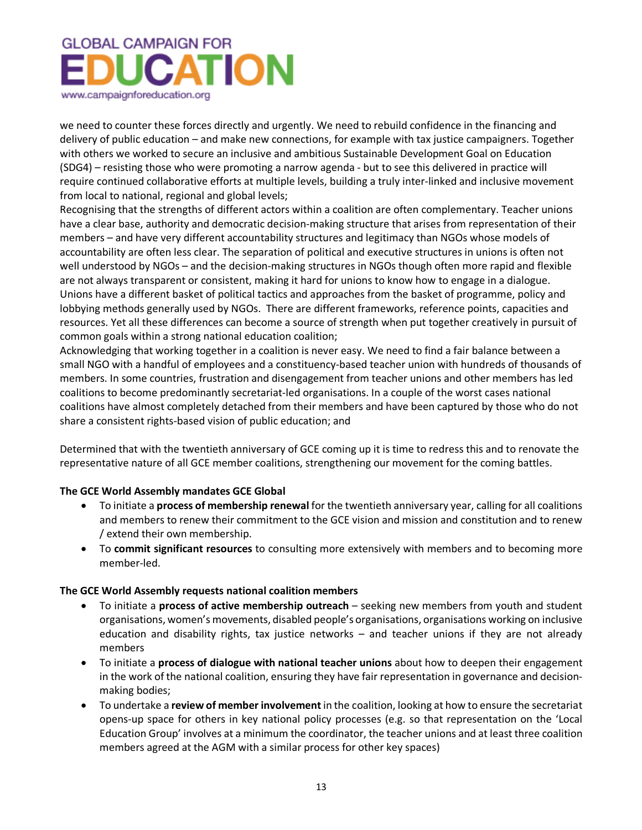# **GLOBAL CAMPAIGN FOR UCATION** www.campaignforeducation.org

we need to counter these forces directly and urgently. We need to rebuild confidence in the financing and delivery of public education – and make new connections, for example with tax justice campaigners. Together with others we worked to secure an inclusive and ambitious Sustainable Development Goal on Education (SDG4) – resisting those who were promoting a narrow agenda - but to see this delivered in practice will require continued collaborative efforts at multiple levels, building a truly inter-linked and inclusive movement from local to national, regional and global levels;

Recognising that the strengths of different actors within a coalition are often complementary. Teacher unions have a clear base, authority and democratic decision-making structure that arises from representation of their members – and have very different accountability structures and legitimacy than NGOs whose models of accountability are often less clear. The separation of political and executive structures in unions is often not well understood by NGOs – and the decision-making structures in NGOs though often more rapid and flexible are not always transparent or consistent, making it hard for unions to know how to engage in a dialogue. Unions have a different basket of political tactics and approaches from the basket of programme, policy and lobbying methods generally used by NGOs. There are different frameworks, reference points, capacities and resources. Yet all these differences can become a source of strength when put together creatively in pursuit of common goals within a strong national education coalition;

Acknowledging that working together in a coalition is never easy. We need to find a fair balance between a small NGO with a handful of employees and a constituency-based teacher union with hundreds of thousands of members. In some countries, frustration and disengagement from teacher unions and other members has led coalitions to become predominantly secretariat-led organisations. In a couple of the worst cases national coalitions have almost completely detached from their members and have been captured by those who do not share a consistent rights-based vision of public education; and

Determined that with the twentieth anniversary of GCE coming up it is time to redress this and to renovate the representative nature of all GCE member coalitions, strengthening our movement for the coming battles.

## **The GCE World Assembly mandates GCE Global**

- To initiate a **process of membership renewal** for the twentieth anniversary year, calling for all coalitions and members to renew their commitment to the GCE vision and mission and constitution and to renew / extend their own membership.
- To **commit significant resources** to consulting more extensively with members and to becoming more member-led.

## **The GCE World Assembly requests national coalition members**

- To initiate a **process of active membership outreach** seeking new members from youth and student organisations, women's movements, disabled people's organisations, organisations working on inclusive education and disability rights, tax justice networks – and teacher unions if they are not already members
- To initiate a **process of dialogue with national teacher unions** about how to deepen their engagement in the work of the national coalition, ensuring they have fair representation in governance and decisionmaking bodies;
- To undertake a **review of member involvement** in the coalition, looking at how to ensure the secretariat opens-up space for others in key national policy processes (e.g. so that representation on the 'Local Education Group' involves at a minimum the coordinator, the teacher unions and at least three coalition members agreed at the AGM with a similar process for other key spaces)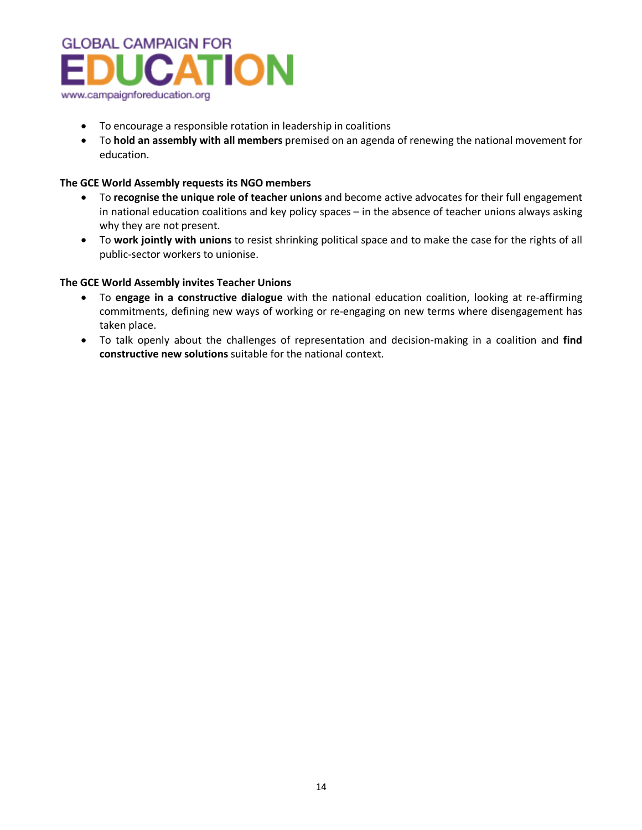

- To encourage a responsible rotation in leadership in coalitions
- To **hold an assembly with all members** premised on an agenda of renewing the national movement for education.

## **The GCE World Assembly requests its NGO members**

- To **recognise the unique role of teacher unions** and become active advocates for their full engagement in national education coalitions and key policy spaces – in the absence of teacher unions always asking why they are not present.
- To **work jointly with unions** to resist shrinking political space and to make the case for the rights of all public-sector workers to unionise.

## **The GCE World Assembly invites Teacher Unions**

- To **engage in a constructive dialogue** with the national education coalition, looking at re-affirming commitments, defining new ways of working or re-engaging on new terms where disengagement has taken place.
- To talk openly about the challenges of representation and decision-making in a coalition and **find constructive new solutions** suitable for the national context.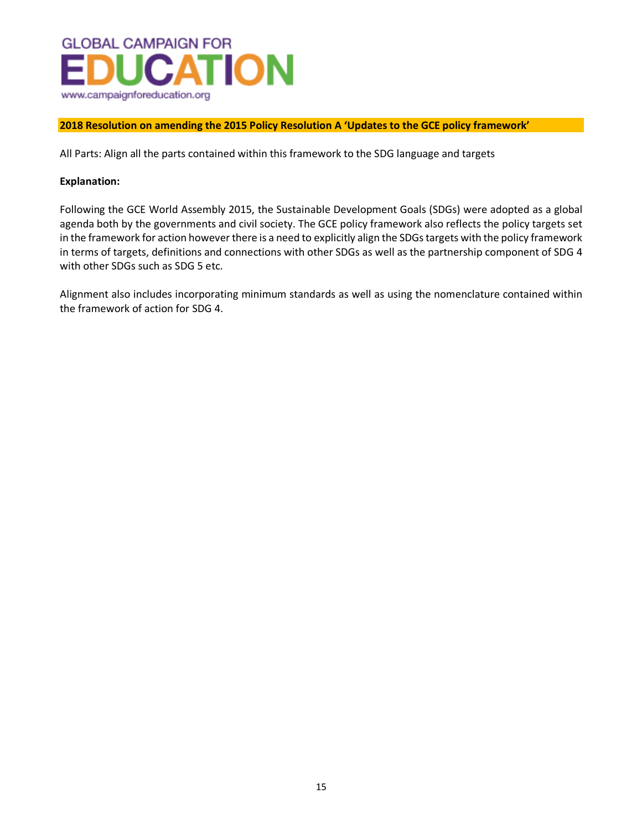

## **2018 Resolution on amending the 2015 Policy Resolution A 'Updates to the GCE policy framework'**

All Parts: Align all the parts contained within this framework to the SDG language and targets

## **Explanation:**

Following the GCE World Assembly 2015, the Sustainable Development Goals (SDGs) were adopted as a global agenda both by the governments and civil society. The GCE policy framework also reflects the policy targets set in the framework for action however there is a need to explicitly align the SDGs targets with the policy framework in terms of targets, definitions and connections with other SDGs as well as the partnership component of SDG 4 with other SDGs such as SDG 5 etc.

Alignment also includes incorporating minimum standards as well as using the nomenclature contained within the framework of action for SDG 4.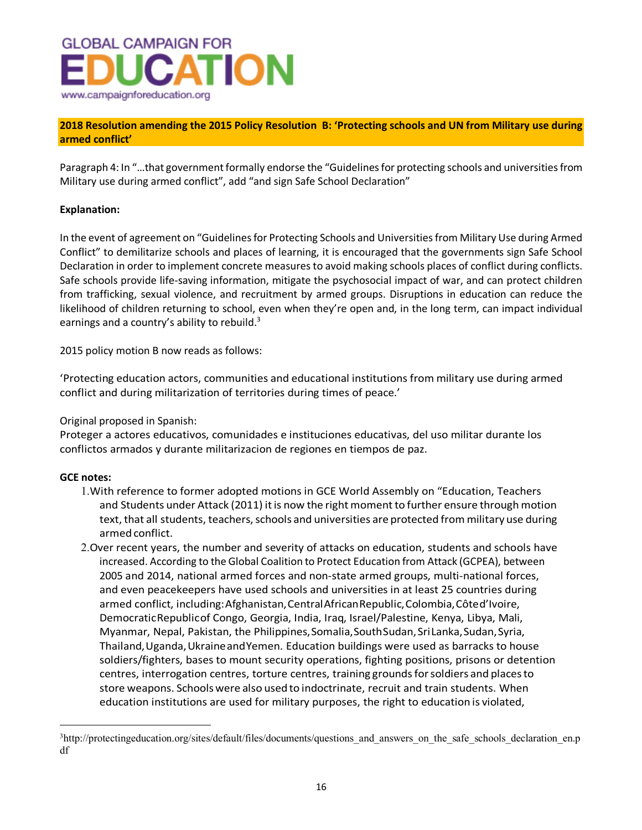

## **2018 Resolution amending the 2015 Policy Resolution B: 'Protecting schools and UN from Military use during armed conflict'**

Paragraph 4: In "…that government formally endorse the "Guidelines for protecting schools and universities from Military use during armed conflict", add "and sign Safe School Declaration"

## **Explanation:**

In the event of agreement on "Guidelines for Protecting Schools and Universities from Military Use during Armed Conflict" to demilitarize schools and places of learning, it is encouraged that the governments sign Safe School Declaration in order to implement concrete measures to avoid making schools places of conflict during conflicts. Safe schools provide life-saving information, mitigate the psychosocial impact of war, and can protect children from trafficking, sexual violence, and recruitment by armed groups. Disruptions in education can reduce the likelihood of children returning to school, even when they're open and, in the long term, can impact individual earnings and a country's ability to rebuild. $3$ 

2015 policy motion B now reads as follows:

'Protecting education actors, communities and educational institutions from military use during armed conflict and during militarization of territories during times of peace.'

Original proposed in Spanish:

Proteger a actores educativos, comunidades e instituciones educativas, del uso militar durante los conflictos armados y durante militarizacion de regiones en tiempos de paz.

## **GCE notes:**

 $\overline{a}$ 

- 1.With reference to former adopted motions in GCE World Assembly on "Education, Teachers and Students under Attack (2011) it is now the right moment to further ensure through motion text, that all students, teachers, schools and universities are protected from military use during armed conflict.
- 2.Over recent years, the number and severity of attacks on education, students and schools have increased. According to the Global Coalition to Protect Education from Attack (GCPEA), between 2005 and 2014, national armed forces and non-state armed groups, multi-national forces, and even peacekeepers have used schools and universities in at least 25 countries during armed conflict, including: Afghanistan, Central African Republic, Colombia, Côted'Ivoire, DemocraticRepublicof Congo, Georgia, India, Iraq, Israel/Palestine, Kenya, Libya, Mali, Myanmar, Nepal, Pakistan, the Philippines,Somalia,SouthSudan,SriLanka,Sudan,Syria, Thailand,Uganda,UkraineandYemen. Education buildings were used as barracks to house soldiers/fighters, bases to mount security operations, fighting positions, prisons or detention centres, interrogation centres, torture centres, training groundsforsoldiers and placesto store weapons. Schoolswere also used to indoctrinate, recruit and train students. When education institutions are used for military purposes, the right to education is violated,

<sup>&</sup>lt;sup>3</sup>http://protectingeducation.org/sites/default/files/documents/questions\_and\_answers\_on\_the\_safe\_schools\_declaration\_en.p df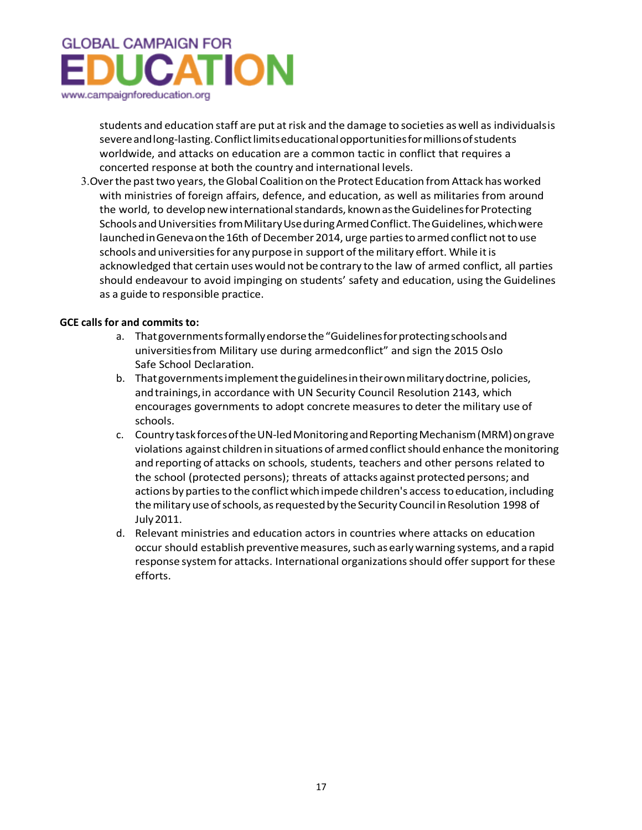# **GLOBAL CAMPAIGN FOR UCATION** www.campaignforeducation.org

students and education staff are put at risk and the damage to societies as well as individualsis severeandlong-lasting.Conflictlimitseducationalopportunitiesformillionsofstudents worldwide, and attacks on education are a common tactic in conflict that requires a concerted response at both the country and international levels.

3.Overthe pasttwo years,theGlobal Coalition on the Protect Education fromAttack has worked with ministries of foreign affairs, defence, and education, as well as militaries from around the world, to develop new international standards, known as the Guidelines for Protecting Schools and Universities from Military Use during Armed Conflict. The Guidelines, which were launched in Geneva on the 16th of December 2014, urge parties to armed conflict not to use schools and universities for any purpose in support of the military effort. While it is acknowledged that certain uses would not be contrary to the law of armed conflict, all parties should endeavour to avoid impinging on students' safety and education, using the Guidelines as a guide to responsible practice.

## **GCE calls for and commits to:**

- a. Thatgovernmentsformallyendorsethe"Guidelinesforprotectingschoolsand universitiesfrom Military use during armedconflict" and sign the 2015 Oslo Safe School Declaration.
- b. That governments implement the guidelines in their own military doctrine, policies, andtrainings,in accordance with UN Security Council Resolution 2143, which encourages governments to adopt concrete measuresto deter the military use of schools.
- c. Country task forces of the UN-led Monitoring and Reporting Mechanism (MRM) on grave violations against children in situations of armed conflict should enhance the monitoring and reporting of attacks on schools, students, teachers and other persons related to the school (protected persons); threats of attacks against protected persons; and actions by parties to the conflict which impede children's access to education, including themilitaryuseofschools, asrequestedby theSecurityCouncil inResolution 1998 of July2011.
- d. Relevant ministries and education actors in countries where attacks on education occur should establish preventive measures, such as early warning systems, and a rapid response system for attacks. International organizations should offer support for these efforts.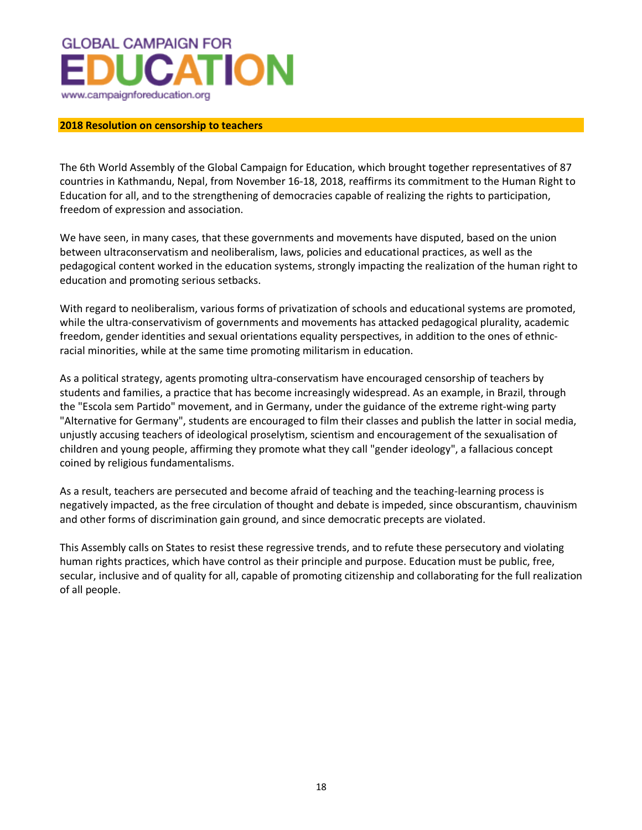

## **2018 Resolution on censorship to teachers**

The 6th World Assembly of the Global Campaign for Education, which brought together representatives of 87 countries in Kathmandu, Nepal, from November 16-18, 2018, reaffirms its commitment to the Human Right to Education for all, and to the strengthening of democracies capable of realizing the rights to participation, freedom of expression and association.

We have seen, in many cases, that these governments and movements have disputed, based on the union between ultraconservatism and neoliberalism, laws, policies and educational practices, as well as the pedagogical content worked in the education systems, strongly impacting the realization of the human right to education and promoting serious setbacks.

With regard to neoliberalism, various forms of privatization of schools and educational systems are promoted, while the ultra-conservativism of governments and movements has attacked pedagogical plurality, academic freedom, gender identities and sexual orientations equality perspectives, in addition to the ones of ethnicracial minorities, while at the same time promoting militarism in education.

As a political strategy, agents promoting ultra-conservatism have encouraged censorship of teachers by students and families, a practice that has become increasingly widespread. As an example, in Brazil, through the "Escola sem Partido" movement, and in Germany, under the guidance of the extreme right-wing party "Alternative for Germany", students are encouraged to film their classes and publish the latter in social media, unjustly accusing teachers of ideological proselytism, scientism and encouragement of the sexualisation of children and young people, affirming they promote what they call "gender ideology", a fallacious concept coined by religious fundamentalisms.

As a result, teachers are persecuted and become afraid of teaching and the teaching-learning process is negatively impacted, as the free circulation of thought and debate is impeded, since obscurantism, chauvinism and other forms of discrimination gain ground, and since democratic precepts are violated.

This Assembly calls on States to resist these regressive trends, and to refute these persecutory and violating human rights practices, which have control as their principle and purpose. Education must be public, free, secular, inclusive and of quality for all, capable of promoting citizenship and collaborating for the full realization of all people.